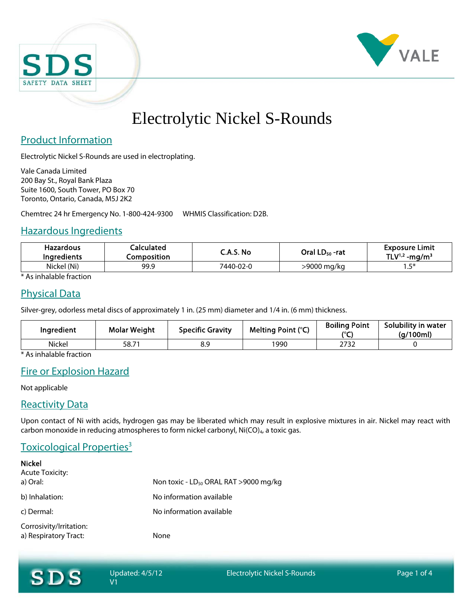



# Electrolytic Nickel S-Rounds

# Product Information

Electrolytic Nickel S-Rounds are used in electroplating.

Vale Canada Limited 200 Bay St., Royal Bank Plaza Suite 1600, South Tower, PO Box 70 Toronto, Ontario, Canada, M5J 2K2

Chemtrec 24 hr Emergency No. 1-800-424-9300 WHMIS Classification: D2B.

#### Hazardous Ingredients

| Hazardous<br><b>Ingredients</b> | <b>Calculated</b><br>Composition | C.A.S. No | Oral LD <sub>50</sub> -rat | <b>Exposure Limit</b><br>TLV <sup>1,2</sup> -mg/m <sup>3</sup> |
|---------------------------------|----------------------------------|-----------|----------------------------|----------------------------------------------------------------|
| Nickel (Ni)                     | 99.9                             | 7440-02-0 | >9000 mg/ka                | に 米<br>                                                        |

\* As inhalable fraction

# Physical Data

Silver-grey, odorless metal discs of approximately 1 in. (25 mm) diameter and 1/4 in. (6 mm) thickness.

| Ingredient | <b>Molar Weight</b> | <b>Specific Gravity</b> | Melting Point (°C) | <b>Boiling Point</b><br>$\sim$ | Solubility in water<br>(g/100ml) |
|------------|---------------------|-------------------------|--------------------|--------------------------------|----------------------------------|
| Nickel     | 58.71               | 8.9                     | 1990               | 2732                           |                                  |

\* As inhalable fraction

# Fire or Explosion Hazard

Not applicable

## Reactivity Data

Upon contact of Ni with acids, hydrogen gas may be liberated which may result in explosive mixtures in air. Nickel may react with carbon monoxide in reducing atmospheres to form nickel carbonyl,  $Ni(CO)_{4}$ , a toxic gas.

# Toxicological Properties<sup>3</sup>

| <b>Nickel</b><br><b>Acute Toxicity:</b>          |                                            |
|--------------------------------------------------|--------------------------------------------|
| a) Oral:                                         | Non toxic - $LD_{50}$ ORAL RAT >9000 mg/kg |
| b) Inhalation:                                   | No information available                   |
| c) Dermal:                                       | No information available                   |
| Corrosivity/Irritation:<br>a) Respiratory Tract: | None                                       |

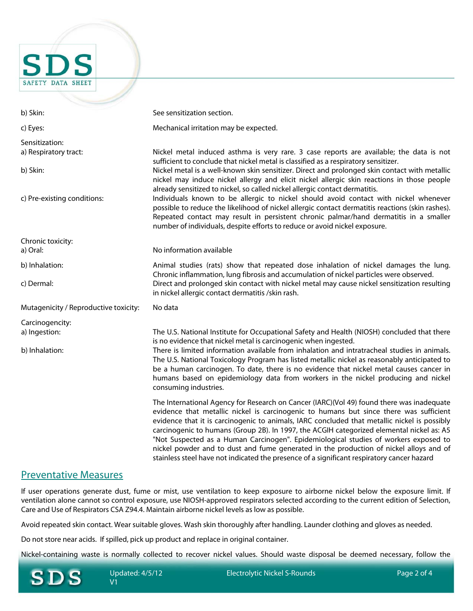**SAFETY DATA SHEET** b) Skin: See sensitization section. c) Eyes: Mechanical irritation may be expected. Sensitization: a) Respiratory tract: Nickel metal induced asthma is very rare. 3 case reports are available; the data is not sufficient to conclude that nickel metal is classified as a respiratory sensitizer. b) Skin: Nickel metal is a well-known skin sensitizer. Direct and prolonged skin contact with metallic nickel may induce nickel allergy and elicit nickel allergic skin reactions in those people already sensitized to nickel, so called nickel allergic contact dermatitis. c) Pre-existing conditions: Individuals known to be allergic to nickel should avoid contact with nickel whenever possible to reduce the likelihood of nickel allergic contact dermatitis reactions (skin rashes). Repeated contact may result in persistent chronic palmar/hand dermatitis in a smaller number of individuals, despite efforts to reduce or avoid nickel exposure. Chronic toxicity: a) Oral: No information available b) Inhalation: Animal studies (rats) show that repeated dose inhalation of nickel damages the lung. Chronic inflammation, lung fibrosis and accumulation of nickel particles were observed. c) Dermal: Direct and prolonged skin contact with nickel metal may cause nickel sensitization resulting in nickel allergic contact dermatitis /skin rash. Mutagenicity / Reproductive toxicity: No data Carcinogencity: a) Ingestion: The U.S. National Institute for Occupational Safety and Health (NIOSH) concluded that there is no evidence that nickel metal is carcinogenic when ingested. b) Inhalation: There is limited information available from inhalation and intratracheal studies in animals. The U.S. National Toxicology Program has listed metallic nickel as reasonably anticipated to be a human carcinogen. To date, there is no evidence that nickel metal causes cancer in humans based on epidemiology data from workers in the nickel producing and nickel consuming industries. The International Agency for Research on Cancer (IARC)(Vol 49) found there was inadequate evidence that metallic nickel is carcinogenic to humans but since there was sufficient evidence that it is carcinogenic to animals, IARC concluded that metallic nickel is possibly carcinogenic to humans (Group 2B). In 1997, the ACGIH categorized elemental nickel as: A5 "Not Suspected as a Human Carcinogen". Epidemiological studies of workers exposed to nickel powder and to dust and fume generated in the production of nickel alloys and of

#### Preventative Measures

If user operations generate dust, fume or mist, use ventilation to keep exposure to airborne nickel below the exposure limit. If ventilation alone cannot so control exposure, use NIOSH-approved respirators selected according to the current edition of Selection, Care and Use of Respirators CSA Z94.4. Maintain airborne nickel levels as low as possible.

Avoid repeated skin contact. Wear suitable gloves. Wash skin thoroughly after handling. Launder clothing and gloves as needed.

Do not store near acids. If spilled, pick up product and replace in original container.

Nickel-containing waste is normally collected to recover nickel values. Should waste disposal be deemed necessary, follow the



stainless steel have not indicated the presence of a significant respiratory cancer hazard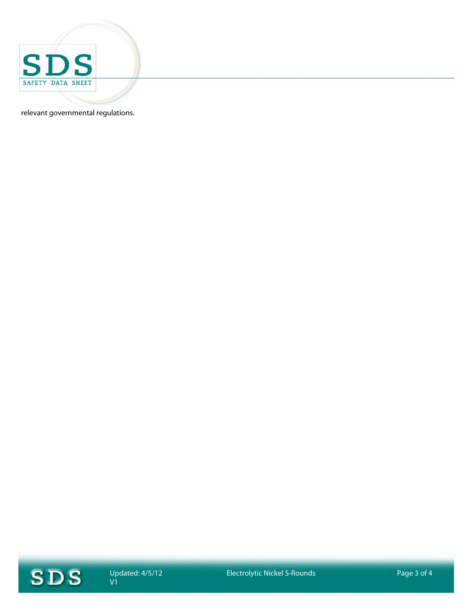

relevant governmental regulations.